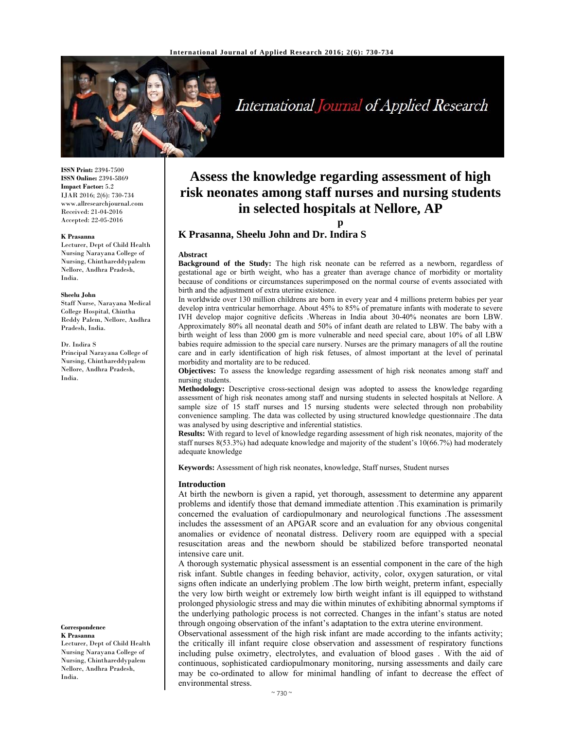

# International Journal of Applied Research

**ISSN Print:** 2394-7500 **ISSN Online:** 2394-5869 **Impact Factor:** 5.2 IJAR 2016; 2(6): 730-734 www.allresearchjournal.com Received: 21-04-2016 Accepted: 22-05-2016

#### **K Prasanna**

Lecturer, Dept of Child Health Nursing Narayana College of Nursing, Chinthareddypalem Nellore, Andhra Pradesh, India.

#### **Sheelu John**

Staff Nurse, Narayana Medical College Hospital, Chintha Reddy Palem, Nellore, Andhra Pradesh, India.

#### Dr. Indira S

Principal Narayana College of Nursing, Chinthareddypalem Nellore, Andhra Pradesh, India.

**Correspondence K Prasanna** 

Lecturer, Dept of Child Health Nursing Narayana College of Nursing, Chinthareddypalem Nellore, Andhra Pradesh, India.

## **Assess the knowledge regarding assessment of high risk neonates among staff nurses and nursing students in selected hospitals at Nellore, AP**

## **p**

## **K Prasanna, Sheelu John and Dr. Indira S**

#### **Abstract**

**Background of the Study:** The high risk neonate can be referred as a newborn, regardless of gestational age or birth weight, who has a greater than average chance of morbidity or mortality because of conditions or circumstances superimposed on the normal course of events associated with birth and the adjustment of extra uterine existence.

In worldwide over 130 million childrens are born in every year and 4 millions preterm babies per year develop intra ventricular hemorrhage. About 45% to 85% of premature infants with moderate to severe IVH develop major cognitive deficits .Whereas in India about 30-40% neonates are born LBW. Approximately 80% all neonatal death and 50% of infant death are related to LBW. The baby with a birth weight of less than 2000 gm is more vulnerable and need special care, about 10% of all LBW babies require admission to the special care nursery. Nurses are the primary managers of all the routine care and in early identification of high risk fetuses, of almost important at the level of perinatal morbidity and mortality are to be reduced.

**Objectives:** To assess the knowledge regarding assessment of high risk neonates among staff and nursing students.

**Methodology:** Descriptive cross-sectional design was adopted to assess the knowledge regarding assessment of high risk neonates among staff and nursing students in selected hospitals at Nellore. A sample size of 15 staff nurses and 15 nursing students were selected through non probability convenience sampling. The data was collected by using structured knowledge questionnaire .The data was analysed by using descriptive and inferential statistics.

**Results:** With regard to level of knowledge regarding assessment of high risk neonates, majority of the staff nurses 8(53.3%) had adequate knowledge and majority of the student's 10(66.7%) had moderately adequate knowledge

**Keywords:** Assessment of high risk neonates, knowledge, Staff nurses, Student nurses

#### **Introduction**

At birth the newborn is given a rapid, yet thorough, assessment to determine any apparent problems and identify those that demand immediate attention .This examination is primarily concerned the evaluation of cardiopulmonary and neurological functions .The assessment includes the assessment of an APGAR score and an evaluation for any obvious congenital anomalies or evidence of neonatal distress. Delivery room are equipped with a special resuscitation areas and the newborn should be stabilized before transported neonatal intensive care unit.

A thorough systematic physical assessment is an essential component in the care of the high risk infant. Subtle changes in feeding behavior, activity, color, oxygen saturation, or vital signs often indicate an underlying problem .The low birth weight, preterm infant, especially the very low birth weight or extremely low birth weight infant is ill equipped to withstand prolonged physiologic stress and may die within minutes of exhibiting abnormal symptoms if the underlying pathologic process is not corrected. Changes in the infant's status are noted through ongoing observation of the infant's adaptation to the extra uterine environment.

Observational assessment of the high risk infant are made according to the infants activity; the critically ill infant require close observation and assessment of respiratory functions including pulse oximetry, electrolytes, and evaluation of blood gases . With the aid of continuous, sophisticated cardiopulmonary monitoring, nursing assessments and daily care may be co-ordinated to allow for minimal handling of infant to decrease the effect of environmental stress.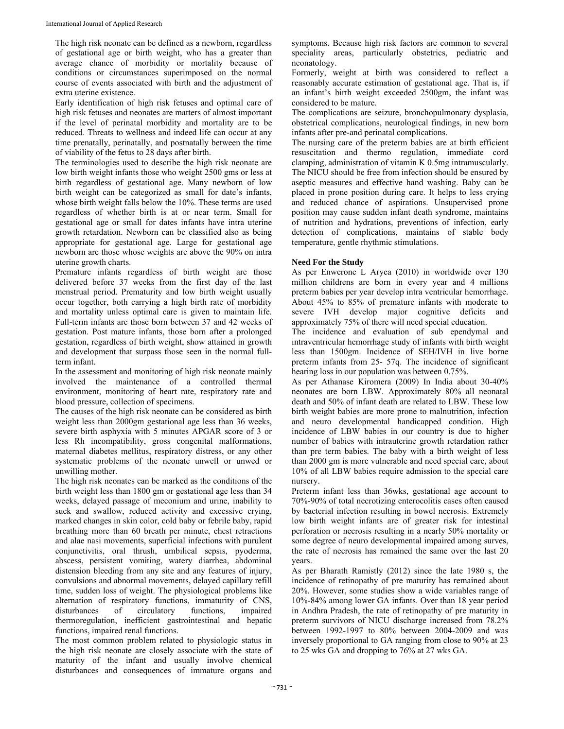The high risk neonate can be defined as a newborn, regardless of gestational age or birth weight, who has a greater than average chance of morbidity or mortality because of conditions or circumstances superimposed on the normal course of events associated with birth and the adjustment of extra uterine existence.

Early identification of high risk fetuses and optimal care of high risk fetuses and neonates are matters of almost important if the level of perinatal morbidity and mortality are to be reduced. Threats to wellness and indeed life can occur at any time prenatally, perinatally, and postnatally between the time of viability of the fetus to 28 days after birth.

The terminologies used to describe the high risk neonate are low birth weight infants those who weight 2500 gms or less at birth regardless of gestational age. Many newborn of low birth weight can be categorized as small for date's infants, whose birth weight falls below the 10%. These terms are used regardless of whether birth is at or near term. Small for gestational age or small for dates infants have intra uterine growth retardation. Newborn can be classified also as being appropriate for gestational age. Large for gestational age newborn are those whose weights are above the 90% on intra uterine growth charts.

Premature infants regardless of birth weight are those delivered before 37 weeks from the first day of the last menstrual period. Prematurity and low birth weight usually occur together, both carrying a high birth rate of morbidity and mortality unless optimal care is given to maintain life. Full-term infants are those born between 37 and 42 weeks of gestation. Post mature infants, those born after a prolonged gestation, regardless of birth weight, show attained in growth and development that surpass those seen in the normal fullterm infant.

In the assessment and monitoring of high risk neonate mainly involved the maintenance of a controlled thermal environment, monitoring of heart rate, respiratory rate and blood pressure, collection of specimens.

The causes of the high risk neonate can be considered as birth weight less than 2000gm gestational age less than 36 weeks, severe birth asphyxia with 5 minutes APGAR score of 3 or less Rh incompatibility, gross congenital malformations, maternal diabetes mellitus, respiratory distress, or any other systematic problems of the neonate unwell or unwed or unwilling mother.

The high risk neonates can be marked as the conditions of the birth weight less than 1800 gm or gestational age less than 34 weeks, delayed passage of meconium and urine, inability to suck and swallow, reduced activity and excessive crying, marked changes in skin color, cold baby or febrile baby, rapid breathing more than 60 breath per minute, chest retractions and alae nasi movements, superficial infections with purulent conjunctivitis, oral thrush, umbilical sepsis, pyoderma, abscess, persistent vomiting, watery diarrhea, abdominal distension bleeding from any site and any features of injury, convulsions and abnormal movements, delayed capillary refill time, sudden loss of weight. The physiological problems like alternation of respiratory functions, immaturity of CNS, disturbances of circulatory functions, impaired thermoregulation, inefficient gastrointestinal and hepatic functions, impaired renal functions.

The most common problem related to physiologic status in the high risk neonate are closely associate with the state of maturity of the infant and usually involve chemical disturbances and consequences of immature organs and

symptoms. Because high risk factors are common to several speciality areas, particularly obstetrics, pediatric and neonatology.

Formerly, weight at birth was considered to reflect a reasonably accurate estimation of gestational age. That is, if an infant's birth weight exceeded 2500gm, the infant was considered to be mature.

The complications are seizure, bronchopulmonary dysplasia, obstetrical complications, neurological findings, in new born infants after pre-and perinatal complications.

The nursing care of the preterm babies are at birth efficient resuscitation and thermo regulation, immediate cord clamping, administration of vitamin K 0.5mg intramuscularly. The NICU should be free from infection should be ensured by aseptic measures and effective hand washing. Baby can be placed in prone position during care. It helps to less crying and reduced chance of aspirations. Unsupervised prone position may cause sudden infant death syndrome, maintains of nutrition and hydrations, preventions of infection, early detection of complications, maintains of stable body temperature, gentle rhythmic stimulations.

## **Need For the Study**

As per Enwerone L Aryea (2010) in worldwide over 130 million childrens are born in every year and 4 millions preterm babies per year develop intra ventricular hemorrhage. About 45% to 85% of premature infants with moderate to severe IVH develop major cognitive deficits and approximately 75% of there will need special education.

The incidence and evaluation of sub ependymal and intraventricular hemorrhage study of infants with birth weight less than 1500gm. Incidence of SEH/IVH in live borne preterm infants from 25- 57q. The incidence of significant hearing loss in our population was between 0.75%.

As per Athanase Kiromera (2009) In India about 30-40% neonates are born LBW. Approximately 80% all neonatal death and 50% of infant death are related to LBW. These low birth weight babies are more prone to malnutrition, infection and neuro developmental handicapped condition. High incidence of LBW babies in our country is due to higher number of babies with intrauterine growth retardation rather than pre term babies. The baby with a birth weight of less than 2000 gm is more vulnerable and need special care, about 10% of all LBW babies require admission to the special care nursery.

Preterm infant less than 36wks, gestational age account to 70%-90% of total necrotizing enterocolitis cases often caused by bacterial infection resulting in bowel necrosis. Extremely low birth weight infants are of greater risk for intestinal perforation or necrosis resulting in a nearly 50% mortality or some degree of neuro developmental impaired among surves, the rate of necrosis has remained the same over the last 20 years.

As per Bharath Ramistly (2012) since the late 1980 s, the incidence of retinopathy of pre maturity has remained about 20%. However, some studies show a wide variables range of 10%-84% among lower GA infants. Over than 18 year period in Andhra Pradesh, the rate of retinopathy of pre maturity in preterm survivors of NICU discharge increased from 78.2% between 1992-1997 to 80% between 2004-2009 and was inversely proportional to GA ranging from close to 90% at 23 to 25 wks GA and dropping to 76% at 27 wks GA.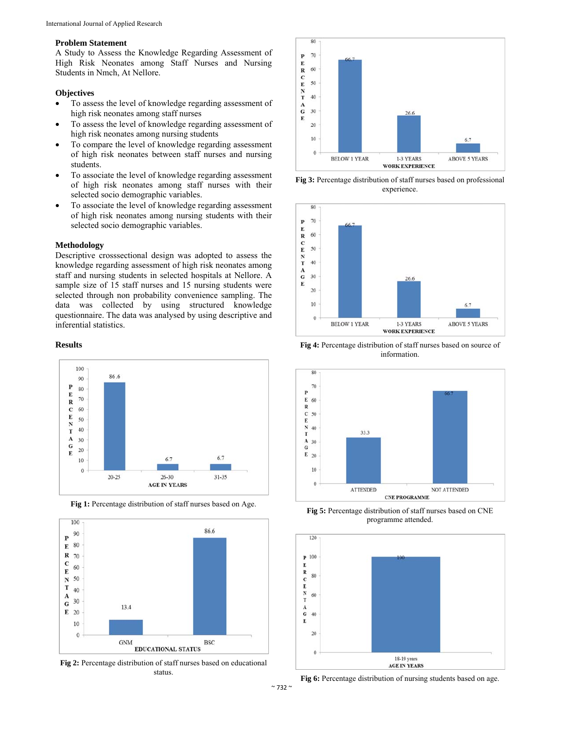#### **Problem Statement**

A Study to Assess the Knowledge Regarding Assessment of High Risk Neonates among Staff Nurses and Nursing Students in Nmch, At Nellore.

## **Objectives**

- To assess the level of knowledge regarding assessment of high risk neonates among staff nurses
- To assess the level of knowledge regarding assessment of high risk neonates among nursing students
- To compare the level of knowledge regarding assessment of high risk neonates between staff nurses and nursing students.
- To associate the level of knowledge regarding assessment of high risk neonates among staff nurses with their selected socio demographic variables.
- To associate the level of knowledge regarding assessment of high risk neonates among nursing students with their selected socio demographic variables.

## **Methodology**

Descriptive crosssectional design was adopted to assess the knowledge regarding assessment of high risk neonates among staff and nursing students in selected hospitals at Nellore. A sample size of 15 staff nurses and 15 nursing students were selected through non probability convenience sampling. The data was collected by using structured knowledge questionnaire. The data was analysed by using descriptive and inferential statistics.

#### **Results**



**Fig 1:** Percentage distribution of staff nurses based on Age.



**Fig 2:** Percentage distribution of staff nurses based on educational status.



**Fig 3:** Percentage distribution of staff nurses based on professional experience.



**Fig 4:** Percentage distribution of staff nurses based on source of information.



**Fig 5:** Percentage distribution of staff nurses based on CNE programme attended.



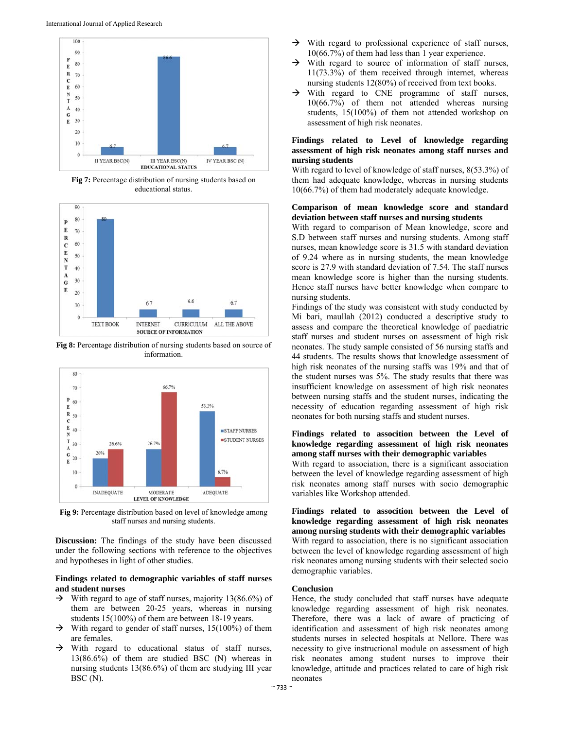

**Fig 7:** Percentage distribution of nursing students based on educational status.



**Fig 8:** Percentage distribution of nursing students based on source of information.



**Fig 9:** Percentage distribution based on level of knowledge among staff nurses and nursing students.

**Discussion:** The findings of the study have been discussed under the following sections with reference to the objectives and hypotheses in light of other studies.

## **Findings related to demographic variables of staff nurses and student nurses**

- $\rightarrow$  With regard to age of staff nurses, majority 13(86.6%) of them are between 20-25 years, whereas in nursing students 15(100%) of them are between 18-19 years.
- $\rightarrow$  With regard to gender of staff nurses, 15(100%) of them are females.
- $\rightarrow$  With regard to educational status of staff nurses, 13(86.6%) of them are studied BSC (N) whereas in nursing students 13(86.6%) of them are studying III year BSC (N).
- $\rightarrow$  With regard to professional experience of staff nurses, 10(66.7%) of them had less than 1 year experience.
- $\rightarrow$  With regard to source of information of staff nurses, 11(73.3%) of them received through internet, whereas nursing students 12(80%) of received from text books.
- $\rightarrow$  With regard to CNE programme of staff nurses, 10(66.7%) of them not attended whereas nursing students, 15(100%) of them not attended workshop on assessment of high risk neonates.

## **Findings related to Level of knowledge regarding assessment of high risk neonates among staff nurses and nursing students**

With regard to level of knowledge of staff nurses, 8(53.3%) of them had adequate knowledge, whereas in nursing students 10(66.7%) of them had moderately adequate knowledge.

## **Comparison of mean knowledge score and standard deviation between staff nurses and nursing students**

With regard to comparison of Mean knowledge, score and S.D between staff nurses and nursing students. Among staff nurses, mean knowledge score is 31.5 with standard deviation of 9.24 where as in nursing students, the mean knowledge score is 27.9 with standard deviation of 7.54. The staff nurses mean knowledge score is higher than the nursing students. Hence staff nurses have better knowledge when compare to nursing students.

Findings of the study was consistent with study conducted by Mi bari, maullah (2012) conducted a descriptive study to assess and compare the theoretical knowledge of paediatric staff nurses and student nurses on assessment of high risk neonates. The study sample consisted of 56 nursing staffs and 44 students. The results shows that knowledge assessment of high risk neonates of the nursing staffs was 19% and that of the student nurses was 5%. The study results that there was insufficient knowledge on assessment of high risk neonates between nursing staffs and the student nurses, indicating the necessity of education regarding assessment of high risk neonates for both nursing staffs and student nurses.

## **Findings related to assocition between the Level of knowledge regarding assessment of high risk neonates among staff nurses with their demographic variables**

With regard to association, there is a significant association between the level of knowledge regarding assessment of high risk neonates among staff nurses with socio demographic variables like Workshop attended.

**Findings related to assocition between the Level of knowledge regarding assessment of high risk neonates among nursing students with their demographic variables**  With regard to association, there is no significant association between the level of knowledge regarding assessment of high risk neonates among nursing students with their selected socio demographic variables.

## **Conclusion**

Hence, the study concluded that staff nurses have adequate knowledge regarding assessment of high risk neonates. Therefore, there was a lack of aware of practicing of identification and assessment of high risk neonates among students nurses in selected hospitals at Nellore. There was necessity to give instructional module on assessment of high risk neonates among student nurses to improve their knowledge, attitude and practices related to care of high risk neonates